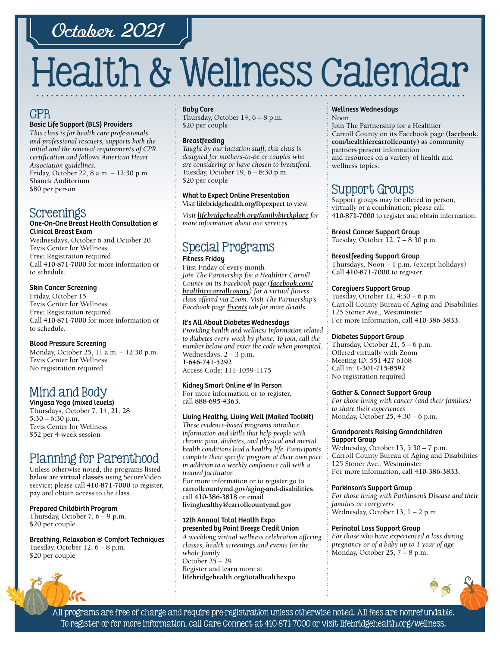## October 2021

# Health & Wellness Calendar

## CPR

#### Basic Life Support (BLS) Providers

*This class is for health care professionals and professional rescuers, supports both the initial and the renewal requirements of CPR certification and follows American Heart Association guidelines.*  Friday, October 22, 8 a.m. – 12:30 p.m. Shauck Auditorium \$80 per person

## Screenings

#### One-On-One Breast Health Consultation & Clinical Breast Exam

Wednesdays, October 6 and October 20 Tevis Center for Wellness Free; Registration required Call **[410-871-7000](tel:4108717000)** for more information or to schedule.

#### Skin Cancer Screening

Friday, October 15 Tevis Center for Wellness Free; Registration required Call **[410-871-7000](tel:4108717000)** for more information or to schedule.

#### Blood Pressure Screening

Monday, October 25, 11 a.m. – 12:30 p.m. Tevis Center for Wellness No registration required

## Mind and Body

Vinyasa Yoga (mixed levels) Thursdays, October 7, 14, 21, 28 5:30 – 6:30 p.m. Tevis Center for Wellness \$52 per 4-week session

## Planning for Parenthood

Unless otherwise noted, the programs listed below are **virtual classes** using SecureVideo service; please call **[410-871-7000](tel:4108717000)** to register, pay and obtain access to the class.

#### Prepared Childbirth Program

Thursday, October 7, 6 – 9 p.m. \$20 per couple

Breathing, Relaxation & Comfort Techniques Tuesday, October 12, 6 – 8 p.m. \$20 per couple

#### Baby Care

Thursday, October 14, 6 – 8 p.m. \$20 per couple

#### **Breastfeeding**

*Taught by our lactation staff, this class is designed for mothers-to-be or couples who are considering or have chosen to breastfeed.* Tuesday, October 19, 6 – 8:30 p.m. \$20 per couple

#### What to Expect Online Presentation Visit **[lifebridgehealth.org/fbpexpect](http://www.lifebridgehealth.org/fbpexpect)** to view.

*Visit l[ifebridgehealth.org/familybirthplace](http://www.lifebridgehealth.org/familybirthplace) for more information about our services.*

## Special Programs

#### Fitness Friday

First Friday of every month *Join The Partnership for a Healthier Carroll County on its Facebook page [\(facebook.com/](https://www.facebook.com/HealthierCarrollCounty/) [healthiercarrollcounty\)](https://www.facebook.com/HealthierCarrollCounty/) for a virtual fitness class offered via Zoom. Visit The Partnership's Facebook page [Events](https://www.facebook.com/HealthierCarrollCounty/events/?ref=page_internal) tab for more details.*

#### It's All About Diabetes Wednesdays

*Providing health and wellness information related to diabetes every week by phone. To join, call the number below and enter the code when prompted.* Wednesdays, 2 – 3 p.m. **[1-646-741-5292](tel:16467415292)** Access Code: 111-1059-1175

#### Kidney Smart Online & In Person

For more information or to register, call **88[8-695-4](tel:8886954363)363.** 

#### Living Healthy, Living Well (Mailed Toolkit)

*These evidence-based programs introduce information and skills that help people with chronic pain, diabetes, and physical and mental health conditions lead a healthy life. Participants complete their specific program at their own pace in addition to a weekly conference call with a trained facilitator.*

For more information or to register go to **[carrollcountymd.gov/aging-and-disabilities](https://www.carrollcountymd.gov/aging-and-disabilities)**, call **[410-386-3818](tel:4103863818)** or email **[livinghealthy@carrollcountymd.gov](mailto:livinghealthy@carrollcountymd.gov)**

#### 12th Annual Total Health Expo presented by Point Breeze Credit Union

*A weeklong virtual wellness celebration offering classes, health screenings and events for the whole family* October 25 – 29 Register and learn more at **[lifebridgehealth.org/totalhealthexpo](https://www.lifebridgehealth.org/Carroll/TotalHealthExpo.aspx)**

#### Wellness Wednesdays

Noon Join The Partnership for a Healthier Carroll County on its Facebook page **[\(facebook.](https://www.facebook.com/HealthierCarrollCounty/) [com/healthiercarrollcounty\)](https://www.facebook.com/HealthierCarrollCounty/)** as community partners present information and resources on a variety of health and wellness topics.

## Support Groups

Support groups may be offered in person, virtually or a combination; please call **[410-871-7000](tel:4108717000)** to register and obtain information.

Breast Cancer Support Group Tuesday, October 12, 7 – 8:30 p.m.

#### Breastfeeding Support Group

Thursdays, Noon – 1 p.m. (except holidays) Call **[410-871-7000](tel:4108717000)** to register.

#### Caregivers Support Group

Tuesday, October 12, 4:30 – 6 p.m. Carroll County Bureau of Aging and Disabilities 125 Stoner Ave., Westminster For more information, call **[410-386-3833](tel:4103863833)**.

#### Diabetes Support Group

Thursday, October 21, 5 – 6 p.m. Offered virtually with Zoom Meeting ID: 551 427 6168 Call in: **[1-301-715-8592](tel:13017158592)** No registration required

#### Gather & Connect Support Group

*For those living with cancer (and their families) to share their experiences*  Monday, October 25, 4:30 – 6 p.m.

#### Grandparents Raising Grandchildren Support Group

Wednesday, October 13, 5:30 – 7 p.m. Carroll County Bureau of Aging and Disabilities 125 Stoner Ave., Westminster For more information, call **[410-386-3833](tel:4103863833)**.

#### Parkinson's Support Group

*For those living with Parkinson's Disease and their families or caregivers*  Wednesday, October 13, 1 – 2 p.m.

#### Perinatal Loss Support Group

*For those who have experienced a loss during pregnancy or of a baby up to 1 year of age* Monday, October 25, 7 – 8 p.m.



All programs are free of charge and require pre-registration unless otherwise noted. All fees are nonrefundable. To register or for more information, call Care Connect at [410-871-7000](tel:4108717000) or visit [lifebridgehealth.org/wellness.](https://www.lifebridgehealth.org/Carroll/CarrollHospitalTevisCenterforWellness.aspx)